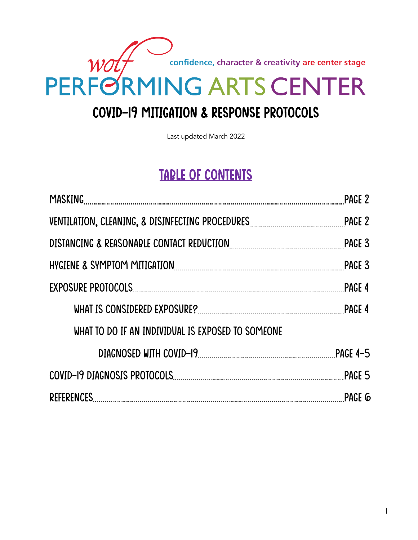confidence, character & creativity are center stage

# wolf PERFORMING ARTS CENTER

# Covid-19 MITIGATION & Response protocols

Last updated March 2022

### TABLE OF CONTENTS

|                                                   | PAGE 2        |
|---------------------------------------------------|---------------|
|                                                   |               |
|                                                   |               |
|                                                   | PAGE 3        |
|                                                   | <b>PAGE 4</b> |
|                                                   |               |
| WHAT TO DO IF AN INDIVIDUAL IS EXPOSED TO SOMEONE |               |
|                                                   |               |
|                                                   |               |
|                                                   |               |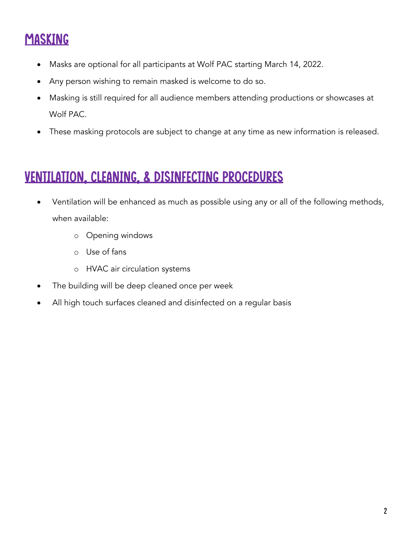# **MASKING**

- Masks are optional for all participants at Wolf PAC starting March 14, 2022.
- Any person wishing to remain masked is welcome to do so.
- Masking is still required for all audience members attending productions or showcases at Wolf PAC.
- These masking protocols are subject to change at any time as new information is released.

### VENTILATION, CLEANING, & DISINFECTING Procedures

- Ventilation will be enhanced as much as possible using any or all of the following methods, when available:
	- o Opening windows
	- o Use of fans
	- o HVAC air circulation systems
- The building will be deep cleaned once per week
- All high touch surfaces cleaned and disinfected on a regular basis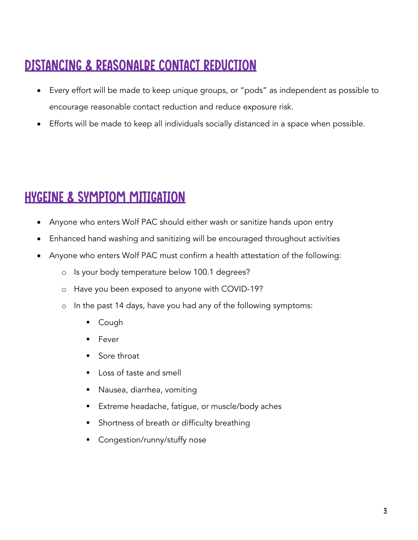# DISTANCING & REASONALDE CONTACT REDUCTION

- Every effort will be made to keep unique groups, or "pods" as independent as possible to encourage reasonable contact reduction and reduce exposure risk.
- Efforts will be made to keep all individuals socially distanced in a space when possible.

## HYGEINE & SYMPTOM MITIGATION

- Anyone who enters Wolf PAC should either wash or sanitize hands upon entry
- Enhanced hand washing and sanitizing will be encouraged throughout activities
- Anyone who enters Wolf PAC must confirm a health attestation of the following:
	- o Is your body temperature below 100.1 degrees?
	- o Have you been exposed to anyone with COVID-19?
	- o In the past 14 days, have you had any of the following symptoms:
		- § Cough
		- **Fever**
		- Sore throat
		- Loss of taste and smell
		- § Nausea, diarrhea, vomiting
		- Extreme headache, fatigue, or muscle/body aches
		- Shortness of breath or difficulty breathing
		- Congestion/runny/stuffy nose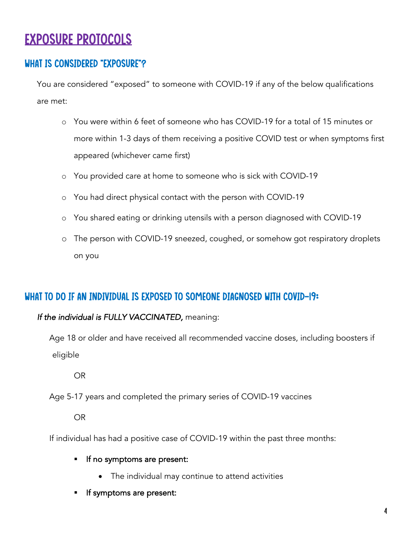### EXPOSURE PROTOCOLS

### WHAT IS CONSIDERED "EXPOSURE"?

You are considered "exposed" to someone with COVID-19 if any of the below qualifications are met:

- o You were within 6 feet of someone who has COVID-19 for a total of 15 minutes or more within 1-3 days of them receiving a positive COVID test or when symptoms first appeared (whichever came first)
- o You provided care at home to someone who is sick with COVID-19
- o You had direct physical contact with the person with COVID-19
- o You shared eating or drinking utensils with a person diagnosed with COVID-19
- o The person with COVID-19 sneezed, coughed, or somehow got respiratory droplets on you

### WHAT TO DO IF AN INDIVIDUAL IS EXPOSED TO SOMEONE DIAGNOSED WITH COVID-19:

#### *If the individual is FULLY VACCINATED,* meaning:

Age 18 or older and have received all recommended vaccine doses, including boosters if eligible

OR

Age 5-17 years and completed the primary series of COVID-19 vaccines

OR

If individual has had a positive case of COVID-19 within the past three months:

- **•** If no symptoms are present:
	- The individual may continue to attend activities
- § If symptoms are present: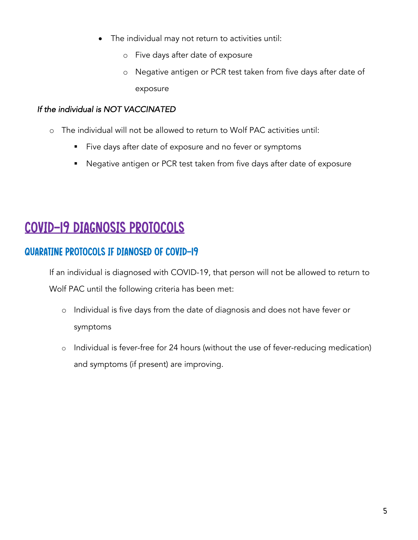- The individual may not return to activities until:
	- o Five days after date of exposure
	- o Negative antigen or PCR test taken from five days after date of exposure

#### *If the individual is NOT VACCINATED*

- o The individual will not be allowed to return to Wolf PAC activities until:
	- Five days after date of exposure and no fever or symptoms
	- Negative antigen or PCR test taken from five days after date of exposure

### COVID-19 DIAGNOSIS PROTOCOLS

### QUARATINE PROTOCOLS IF DIANOSED OF COVID-19

If an individual is diagnosed with COVID-19, that person will not be allowed to return to Wolf PAC until the following criteria has been met:

- o Individual is five days from the date of diagnosis and does not have fever or symptoms
- o Individual is fever-free for 24 hours (without the use of fever-reducing medication) and symptoms (if present) are improving.